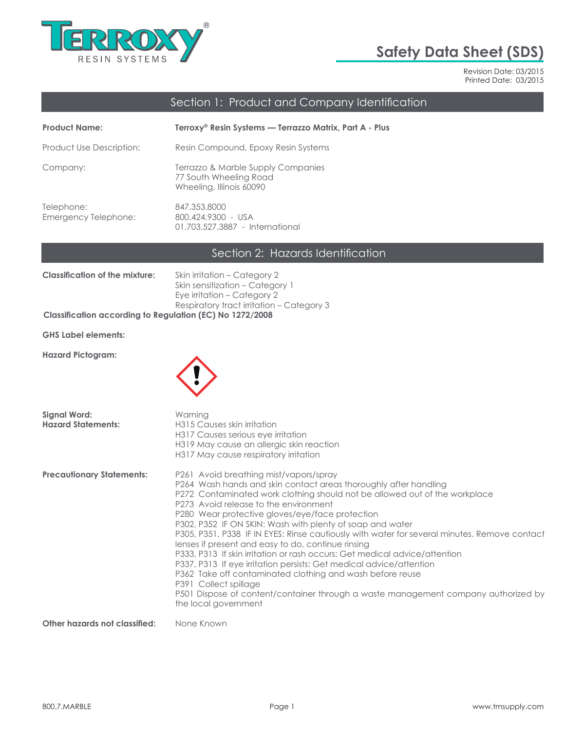

# **Safety Data Sheet (SDS)**

Revision Date: 03/2015 Printed Date: 03/2015

# Section 1: Product and Company Identification

| <b>Product Name:</b>               | Terroxy <sup>®</sup> Resin Systems — Terrazzo Matrix, Part A - Plus                      |
|------------------------------------|------------------------------------------------------------------------------------------|
| Product Use Description:           | Resin Compound, Epoxy Resin Systems                                                      |
| Company:                           | Terrazzo & Marble Supply Companies<br>77 South Wheeling Road<br>Wheeling, Illinois 60090 |
| Telephone:<br>Emergency Telephone: | 847.353.8000<br>800.424.9300 - USA<br>01.703.527.3887 - International                    |

# Section 2: Hazards Identification

| <b>Classification of the mixture:</b>                    | Skin irritation – Category 2              |
|----------------------------------------------------------|-------------------------------------------|
|                                                          | Skin sensitization – Category 1           |
|                                                          | Eye irritation – Category 2               |
|                                                          | Respiratory tract irritation – Category 3 |
| Classification according to Regulation (EC) No 1272/2008 |                                           |

**GHS Label elements:**

**Hazard Pictogram:**



| Signal Word:<br><b>Hazard Statements:</b> | Warning<br>H315 Causes skin irritation<br>H317 Causes serious eye irritation<br>H319 May cause an allergic skin reaction<br>H317 May cause respiratory irritation                                                                                                                                                                                                                                                                                                                                                                                                                                                                                                                                                                                                                                                                                                |
|-------------------------------------------|------------------------------------------------------------------------------------------------------------------------------------------------------------------------------------------------------------------------------------------------------------------------------------------------------------------------------------------------------------------------------------------------------------------------------------------------------------------------------------------------------------------------------------------------------------------------------------------------------------------------------------------------------------------------------------------------------------------------------------------------------------------------------------------------------------------------------------------------------------------|
| <b>Precautionary Statements:</b>          | P261 Avoid breathing mist/vapors/spray<br>P264 Wash hands and skin contact areas thoroughly after handling<br>P272 Contaminated work clothing should not be allowed out of the workplace<br>P273 Avoid release to the environment<br>P280 Wear protective gloves/eye/face protection<br>P302, P352 IF ON SKIN: Wash with plenty of soap and water<br>P305, P351, P338 IF IN EYES: Rinse cautiously with water for several minutes. Remove contact<br>lenses if present and easy to do, continue rinsing<br>P333, P313 If skin irritation or rash occurs: Get medical advice/attention<br>P337, P313 If eye irritation persists: Get medical advice/attention<br>P362 Take off contaminated clothing and wash before reuse<br>P391 Collect spillage<br>P501 Dispose of content/container through a waste management company authorized by<br>the local government |
| Albertardensk almerikanten Maria Kraum    |                                                                                                                                                                                                                                                                                                                                                                                                                                                                                                                                                                                                                                                                                                                                                                                                                                                                  |

**Other hazards not classified:** None Known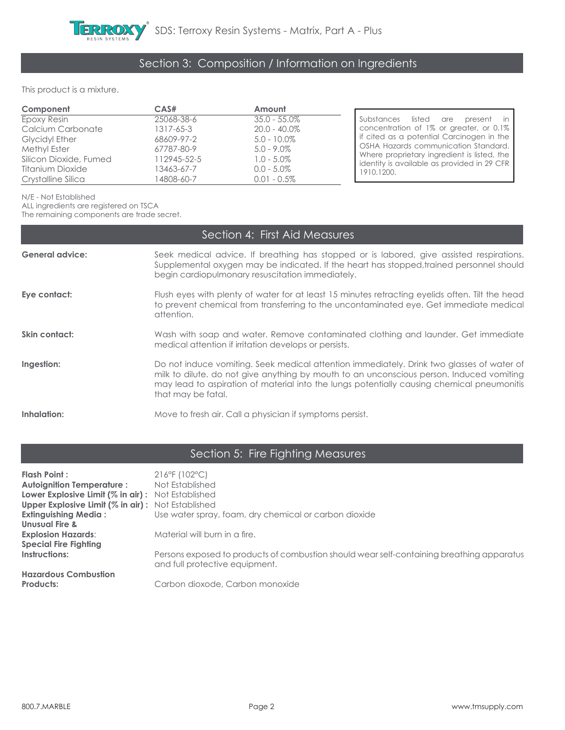# Section 3: Composition / Information on Ingredients

#### This product is a mixture.

| Component               | CAS#        | Amount          |                                                                                            |
|-------------------------|-------------|-----------------|--------------------------------------------------------------------------------------------|
| Epoxy Resin             | 25068-38-6  | $35.0 - 55.0\%$ | Substances listed are<br>present                                                           |
| Calcium Carbonate       | 1317-65-3   | $20.0 - 40.0\%$ | concentration of 1% or greater, or 0.1%                                                    |
| <b>Glycidyl Ether</b>   | 68609-97-2  | $5.0 - 10.0\%$  | if cited as a potential Carcinogen in the                                                  |
| Methyl Ester            | 67787-80-9  | $5.0 - 9.0\%$   | OSHA Hazards communication Standard.                                                       |
| Silicon Dioxide, Fumed  | 112945-52-5 | $1.0 - 5.0\%$   | Where proprietary ingredient is listed, the<br>identity is available as provided in 29 CFR |
| <b>Titanium Dioxide</b> | 13463-67-7  | $0.0 - 5.0\%$   | 1910.1200.                                                                                 |
| Crystalline Silica      | 14808-60-7  | $0.01 - 0.5\%$  |                                                                                            |

N/E - Not Established

ALL ingredients are registered on TSCA

The remaining components are trade secret.

|                        | Section 4: First Aid Measures                                                                                                                                                                                                                                                                             |
|------------------------|-----------------------------------------------------------------------------------------------------------------------------------------------------------------------------------------------------------------------------------------------------------------------------------------------------------|
| <b>General advice:</b> | Seek medical advice. If breathing has stopped or is labored, give assisted respirations.<br>Supplemental oxygen may be indicated. If the heart has stopped, trained personnel should<br>begin cardiopulmonary resuscitation immediately.                                                                  |
| Eye contact:           | Flush eyes with plenty of water for at least 15 minutes retracting eyelids often. Tilt the head<br>to prevent chemical from transferring to the uncontaminated eye. Get immediate medical<br>attention.                                                                                                   |
| Skin contact:          | Wash with soap and water. Remove contaminated clothing and launder. Get immediate<br>medical attention if irritation develops or persists.                                                                                                                                                                |
| Ingestion:             | Do not induce vomiting. Seek medical attention immediately. Drink two glasses of water of<br>milk to dilute. do not give anything by mouth to an unconscious person. Induced vomiting<br>may lead to aspiration of material into the lungs potentially causing chemical pneumonitis<br>that may be fatal. |
| Inhalation:            | Move to fresh air. Call a physician if symptoms persist.                                                                                                                                                                                                                                                  |

# Section 5: Fire Fighting Measures

| Flash Point :                                            | $216^{\circ}$ F (102 $^{\circ}$ C)                                                                                          |
|----------------------------------------------------------|-----------------------------------------------------------------------------------------------------------------------------|
| <b>Autoignition Temperature:</b>                         | Not Established                                                                                                             |
| <b>Lower Explosive Limit (% in air):</b> Not Established |                                                                                                                             |
| <b>Upper Explosive Limit (% in air):</b> Not Established |                                                                                                                             |
| <b>Extinguishing Media:</b>                              | Use water spray, foam, dry chemical or carbon dioxide                                                                       |
| <b>Unusual Fire &amp;</b>                                |                                                                                                                             |
| <b>Explosion Hazards:</b>                                | Material will burn in a fire.                                                                                               |
| <b>Special Fire Fighting</b>                             |                                                                                                                             |
| Instructions:                                            | Persons exposed to products of combustion should wear self-containing breathing apparatus<br>and full protective equipment. |
| <b>Hazardous Combustion</b>                              |                                                                                                                             |
| <b>Products:</b>                                         | Carbon dioxode, Carbon monoxide                                                                                             |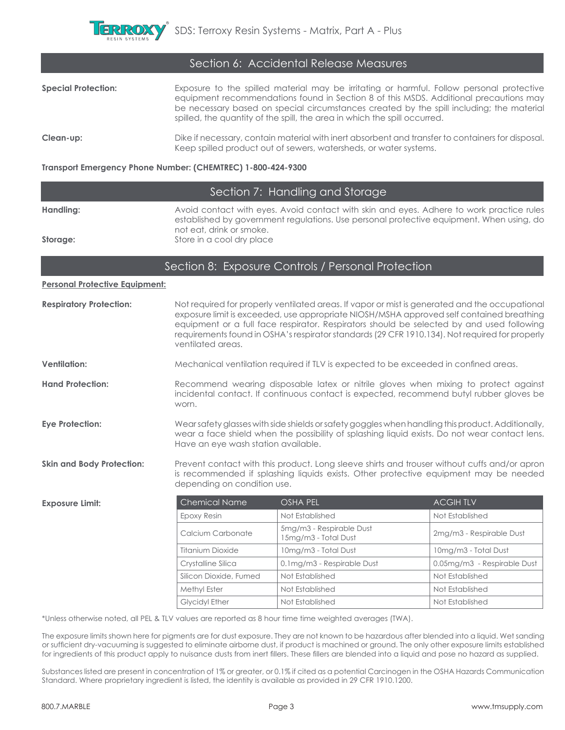

| Section 6: Accidental Release Measures |                                                                                                                                                                                                                                                                                                                                                             |  |
|----------------------------------------|-------------------------------------------------------------------------------------------------------------------------------------------------------------------------------------------------------------------------------------------------------------------------------------------------------------------------------------------------------------|--|
| <b>Special Protection:</b>             | Exposure to the spilled material may be irritating or harmful. Follow personal protective<br>equipment recommendations found in Section 8 of this MSDS. Additional precautions may<br>be necessary based on special circumstances created by the spill including; the material<br>spilled, the quantity of the spill, the area in which the spill occurred. |  |
| Clean-up:                              | Dike if necessary, contain material with inert absorbent and transfer to containers for disposal.<br>Keep spilled product out of sewers, watersheds, or water systems.                                                                                                                                                                                      |  |

#### **Transport Emergency Phone Number: (CHEMTREC) 1-800-424-9300**

### Section 7: Handling and Storage

Handling: **Avoid contact with eyes. Avoid contact with skin and eyes. Adhere to work practice rules** established by government regulations. Use personal protective equipment. When using, do not eat, drink or smoke.

**Storage: Store in a cool dry place** 

#### Section 8: Exposure Controls / Personal Protection

**Personal Protective Equipment:**

| <b>Respiratory Protection:</b>   | Not required for properly ventilated areas. If vapor or mist is generated and the occupational<br>exposure limit is exceeded, use appropriate NIOSH/MSHA approved self contained breathing<br>equipment or a full face respirator. Respirators should be selected by and used following<br>requirements found in OSHA's respirator standards (29 CFR 1910.134). Not required for properly<br>ventilated areas. |                                                                                      |                 |
|----------------------------------|----------------------------------------------------------------------------------------------------------------------------------------------------------------------------------------------------------------------------------------------------------------------------------------------------------------------------------------------------------------------------------------------------------------|--------------------------------------------------------------------------------------|-----------------|
| <b>Ventilation:</b>              |                                                                                                                                                                                                                                                                                                                                                                                                                | Mechanical ventilation required if TLV is expected to be exceeded in confined areas. |                 |
| <b>Hand Protection:</b>          | Recommend wearing disposable latex or nitrile gloves when mixing to protect against<br>incidental contact. If continuous contact is expected, recommend butyl rubber gloves be<br>worn.                                                                                                                                                                                                                        |                                                                                      |                 |
| <b>Eye Protection:</b>           | Wear safety glasses with side shields or safety goggles when handling this product. Additionally,<br>wear a face shield when the possibility of splashing liquid exists. Do not wear contact lens.<br>Have an eye wash station available.                                                                                                                                                                      |                                                                                      |                 |
| <b>Skin and Body Protection:</b> | Prevent contact with this product. Long sleeve shirts and trouser without cuffs and/or apron<br>is recommended if splashing liquids exists. Other protective equipment may be needed<br>depending on condition use.                                                                                                                                                                                            |                                                                                      |                 |
| <b>Exposure Limit:</b>           | Chemical Name                                                                                                                                                                                                                                                                                                                                                                                                  | <b>OSHA PEL</b>                                                                      | <b>ACGIHTLV</b> |

| Chemical Name          | OSHA PEL                                         | ACGIH ILV                   |
|------------------------|--------------------------------------------------|-----------------------------|
| Epoxy Resin            | Not Established                                  | Not Established             |
| Calcium Carbonate      | 5mg/m3 - Respirable Dust<br>15mg/m3 - Total Dust | 2mg/m3 - Respirable Dust    |
| Titanium Dioxide       | 10mg/m3 - Total Dust                             | 10mg/m3 - Total Dust        |
| Crystalline Silica     | 0.1mg/m3 - Respirable Dust                       | 0.05mg/m3 - Respirable Dust |
| Silicon Dioxide, Fumed | Not Established                                  | Not Established             |
| Methyl Ester           | Not Established                                  | Not Established             |
| <b>Glycidyl Ether</b>  | Not Established                                  | Not Established             |
|                        |                                                  |                             |

\*Unless otherwise noted, all PEL & TLV values are reported as 8 hour time time weighted averages (TWA).

The exposure limits shown here for pigments are for dust exposure. They are not known to be hazardous after blended into a liquid. Wet sanding or sufficient dry-vacuuming is suggested to eliminate airborne dust, if product is machined or ground. The only other exposure limits established for ingredients of this product apply to nuisance dusts from inert fillers. These fillers are blended into a liquid and pose no hazard as supplied.

Substances listed are present in concentration of 1% or greater, or 0.1% if cited as a potential Carcinogen in the OSHA Hazards Communication Standard. Where proprietary ingredient is listed, the identity is available as provided in 29 CFR 1910.1200.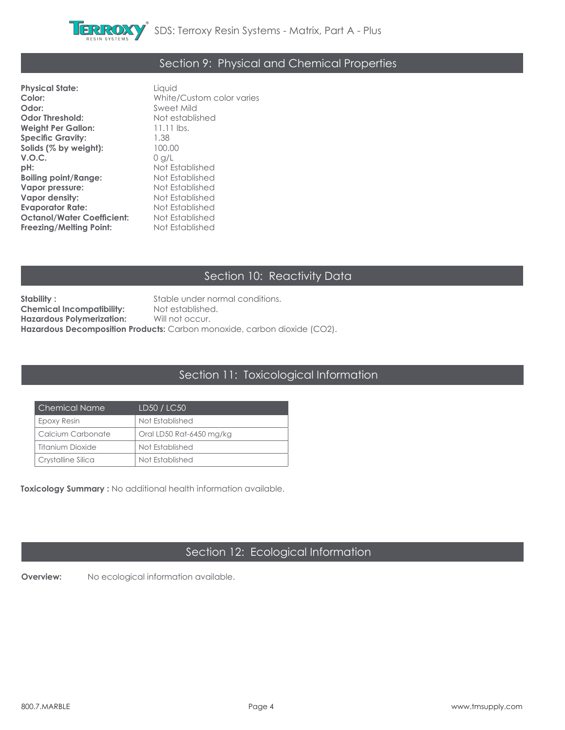

### Section 9: Physical and Chemical Properties

**Physical State:** Liquid<br> **Color:** White **Odor:** Sweet Mild **Odor Threshold:** Not established **Weight Per Gallon: Specific Gravity:** 1.38 **Solids (% by weight):** 100.00 **V.O.C.** 0 g/L **pH:** Not Established **Boiling point/Range:** Not Established<br> **Vapor pressure:** Not Established **Vapor pressure:** Not Established **Vapor density: Evaporator Rate:** Not Established **Octanol/Water Coefficient:** Not Established **Freezing/Melting Point:** 

**Color:** White/Custom color varies

# Section 10: Reactivity Data

**Stability :** Stable under normal conditions. **Chemical Incompatibility:** Not established.<br>**Hazardous Polymerization:** Will not occur. **Hazardous Polymerization: Hazardous Decomposition Products:** Carbon monoxide, carbon dioxide (CO2).

### Section 11: Toxicological Information

| Chemical Name      | LD50 / LC50              |
|--------------------|--------------------------|
| Epoxy Resin        | Not Established          |
| Calcium Carbonate  | Oral LD50 Rat-6450 mg/kg |
| Titanium Dioxide   | Not Established          |
| Crystalline Silica | Not Established          |

**Toxicology Summary :** No additional health information available.

# Section 12: Ecological Information

**Overview:** No ecological information available.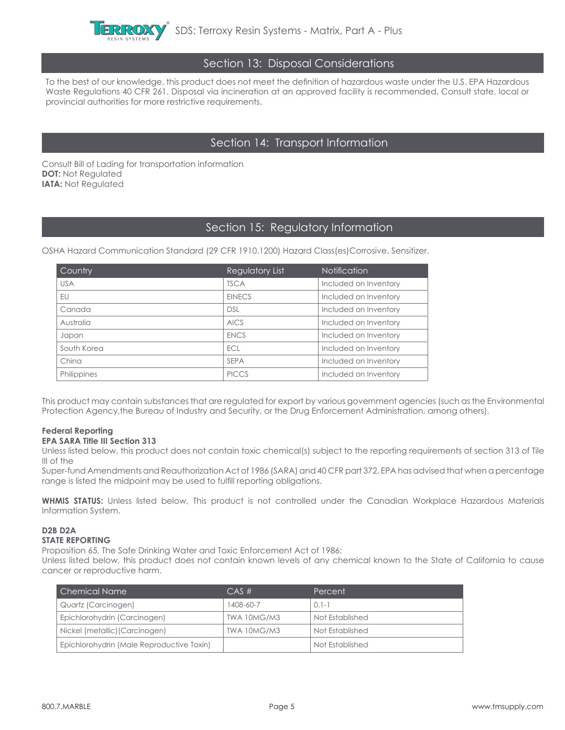

#### Section 13: Disposal Considerations

To the best of our knowledge, this product does not meet the definition of hazardous waste under the U.S. EPA Hazardous Waste Regulations 40 CFR 261. Disposal via incineration at an approved facility is recommended. Consult state, local or provincial authorities for more restrictive requirements.

### Section 14: Transport Information

Consult Bill of Lading for transportation information **DOT: Not Regulated IATA: Not Regulated** 

### Section 15: Regulatory Information

OSHA Hazard Communication Standard (29 CFR 1910.1200) Hazard Class(es)Corrosive. Sensitizer.

| <b>Country</b> | Regulatory List | <b>Notification</b>   |
|----------------|-----------------|-----------------------|
| <b>USA</b>     | <b>TSCA</b>     | Included on Inventory |
| EU             | <b>EINECS</b>   | Included on Inventory |
| Canada         | <b>DSL</b>      | Included on Inventory |
| Australia      | <b>AICS</b>     | Included on Inventory |
| Japan          | <b>ENCS</b>     | Included on Inventory |
| South Korea    | ECL             | Included on Inventory |
| China          | <b>SEPA</b>     | Included on Inventory |
| Philippines    | <b>PICCS</b>    | Included on Inventory |

This product may contain substances that are regulated for export by various government agencies (such as the Environmental Protection Agency,the Bureau of Industry and Security, or the Drug Enforcement Administration, among others).

#### **Federal Reporting EPA SARA Title III Section 313**

Unless listed below, this product does not contain toxic chemical(s) subject to the reporting requirements of section 313 of Tile III of the

Super-fund Amendments and Reauthorization Act of 1986 (SARA) and 40 CFR part 372. EPA has advised that when a percentage range is listed the midpoint may be used to fulfill reporting obligations.

**WHMIS STATUS:** Unless listed below, This product is not controlled under the Canadian Workplace Hazardous Materials Information System.

#### **D2B D2A STATE REPORTING**

Proposition 65, The Safe Drinking Water and Toxic Enforcement Act of 1986:

Unless listed below, this product does not contain known levels of any chemical known to the State of California to cause cancer or reproductive harm.

| Chemical Name                             | $CAS \#$    | Percent         |
|-------------------------------------------|-------------|-----------------|
| Quartz (Carcinogen)                       | 1408-60-7   | $0.1 - 1$       |
| Epichlorohydrin (Carcinogen)              | TWA 10MG/M3 | Not Established |
| Nickel (metallic) (Carcinogen)            | TWA 10MG/M3 | Not Established |
| Epichlorohydrin (Male Reproductive Toxin) |             | Not Established |